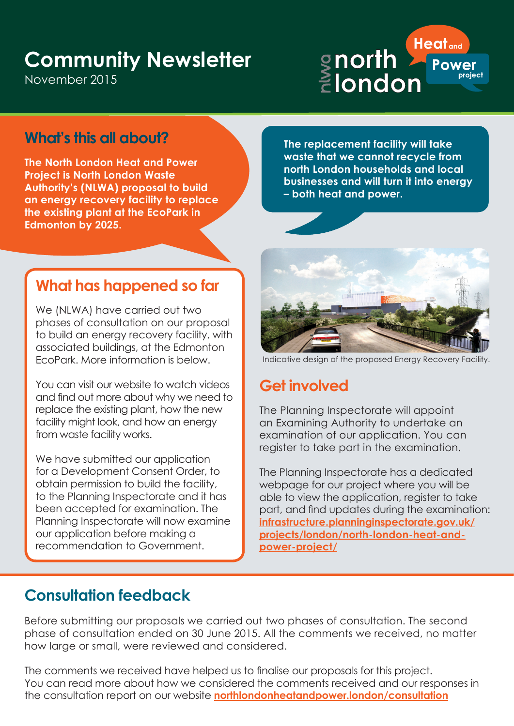# **Community Newsletter**

November 2015



### **What's this all about?**

**The North London Heat and Power Project is North London Waste Authority's (NLWA) proposal to build an energy recovery facility to replace the existing plant at the EcoPark in Edmonton by 2025.** 

**The replacement facility will take waste that we cannot recycle from north London households and local businesses and will turn it into energy – both heat and power.** 

## **What has happened so far**

We (NLWA) have carried out two phases of consultation on our proposal to build an energy recovery facility, with associated buildings, at the Edmonton EcoPark. More information is below.

You can visit our website to watch videos and find out more about why we need to replace the existing plant, how the new facility might look, and how an energy from waste facility works.

We have submitted our application for a Development Consent Order, to obtain permission to build the facility, to the Planning Inspectorate and it has been accepted for examination. The Planning Inspectorate will now examine our application before making a recommendation to Government.



Indicative design of the proposed Energy Recovery Facility.

### **Get involved**

The Planning Inspectorate will appoint an Examining Authority to undertake an examination of our application. You can register to take part in the examination.

The Planning Inspectorate has a dedicated webpage for our project where you will be able to view the application, register to take part, and find updates during the examination: **infrastructure.planninginspectorate.gov.uk/ projects/london/north-london-heat-andpower-project/**

### **Consultation feedback**

Before submitting our proposals we carried out two phases of consultation. The second phase of consultation ended on 30 June 2015. All the comments we received, no matter how large or small, were reviewed and considered.

The comments we received have helped us to finalise our proposals for this project. You can read more about how we considered the comments received and our responses in the consultation report on our website **northlondonheatandpower.london/consultation**